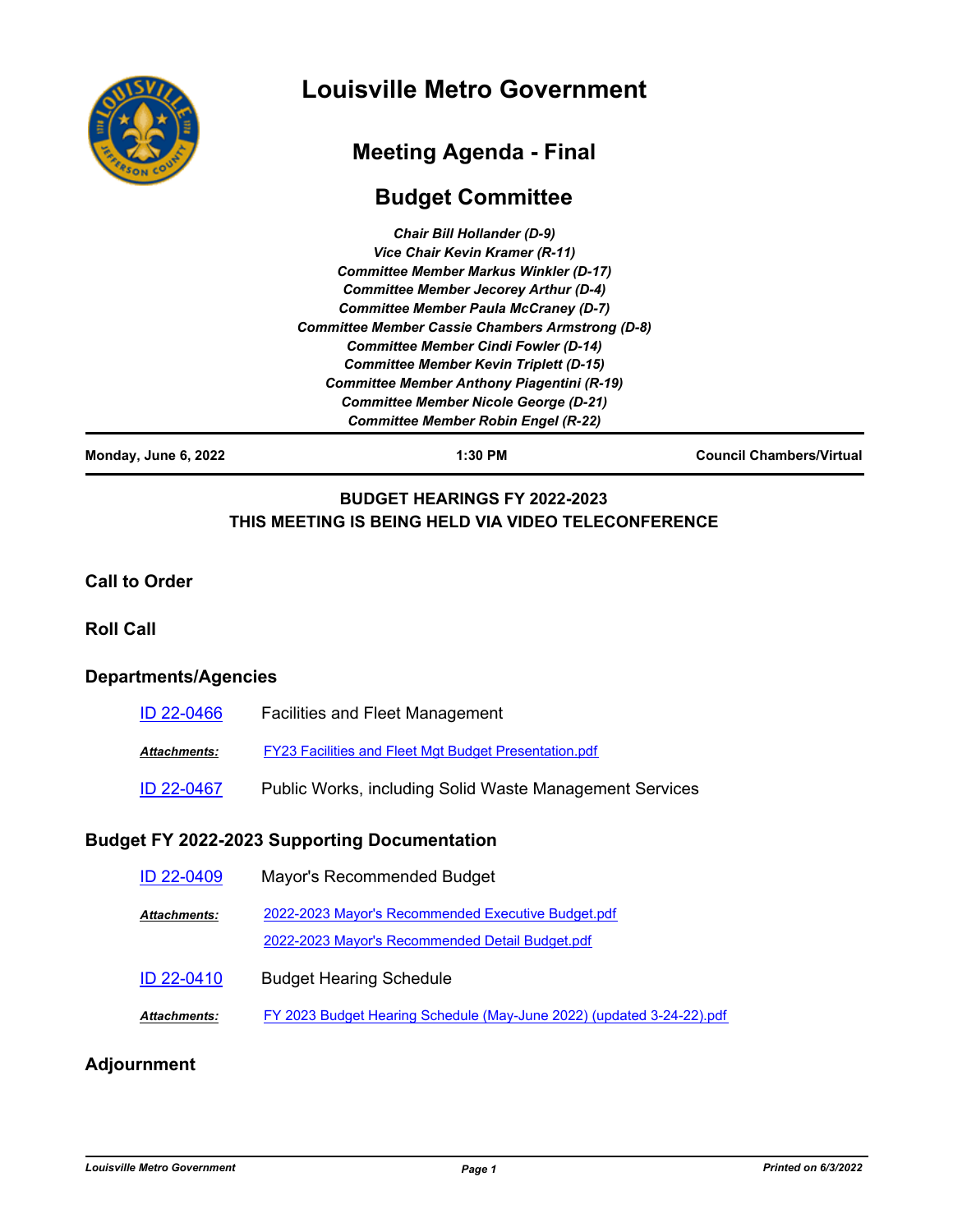

# **Louisville Metro Government**

# **Meeting Agenda - Final**

## **Budget Committee**

| <b>Chair Bill Hollander (D-9)</b>                 |  |
|---------------------------------------------------|--|
| Vice Chair Kevin Kramer (R-11)                    |  |
| <b>Committee Member Markus Winkler (D-17)</b>     |  |
| <b>Committee Member Jecorey Arthur (D-4)</b>      |  |
| <b>Committee Member Paula McCraney (D-7)</b>      |  |
| Committee Member Cassie Chambers Armstrong (D-8)  |  |
| <b>Committee Member Cindi Fowler (D-14)</b>       |  |
| <b>Committee Member Kevin Triplett (D-15)</b>     |  |
| <b>Committee Member Anthony Piagentini (R-19)</b> |  |
| <b>Committee Member Nicole George (D-21)</b>      |  |
| <b>Committee Member Robin Engel (R-22)</b>        |  |

**Monday, June 6, 2022 1:30 PM Council Chambers/Virtual**

## **BUDGET HEARINGS FY 2022-2023 THIS MEETING IS BEING HELD VIA VIDEO TELECONFERENCE**

#### **Call to Order**

#### **Roll Call**

## **Departments/Agencies**

| ID 22-0466   | <b>Facilities and Fleet Management</b>                       |
|--------------|--------------------------------------------------------------|
| Attachments: | <b>FY23 Facilities and Fleet Mgt Budget Presentation.pdf</b> |
| ID 22-0467   | Public Works, including Solid Waste Management Services      |

### **Budget FY 2022-2023 Supporting Documentation**

| ID 22-0409   | Mayor's Recommended Budget                                                                            |
|--------------|-------------------------------------------------------------------------------------------------------|
| Attachments: | 2022-2023 Mayor's Recommended Executive Budget.pdf<br>2022-2023 Mayor's Recommended Detail Budget.pdf |
| ID 22-0410   | <b>Budget Hearing Schedule</b>                                                                        |
| Attachments: | FY 2023 Budget Hearing Schedule (May-June 2022) (updated 3-24-22).pdf                                 |
|              |                                                                                                       |

## **Adjournment**